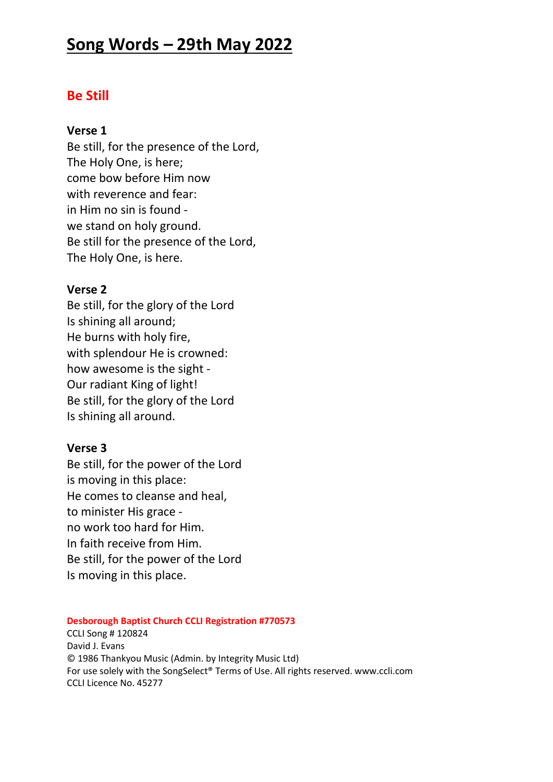# **Song Words – 29th May 2022**

# **Be Still**

### **Verse 1**

Be still, for the presence of the Lord, The Holy One, is here; come bow before Him now with reverence and fear: in Him no sin is found we stand on holy ground. Be still for the presence of the Lord, The Holy One, is here.

# **Verse 2**

Be still, for the glory of the Lord Is shining all around; He burns with holy fire, with splendour He is crowned: how awesome is the sight - Our radiant King of light! Be still, for the glory of the Lord Is shining all around.

### **Verse 3**

Be still, for the power of the Lord is moving in this place: He comes to cleanse and heal, to minister His grace no work too hard for Him. In faith receive from Him. Be still, for the power of the Lord Is moving in this place.

#### **Desborough Baptist Church CCLI Registration #770573**

CCLI Song # 120824 David J. Evans © 1986 Thankyou Music (Admin. by Integrity Music Ltd) For use solely with the SongSelect® Terms of Use. All rights reserved. www.ccli.com CCLI Licence No. 45277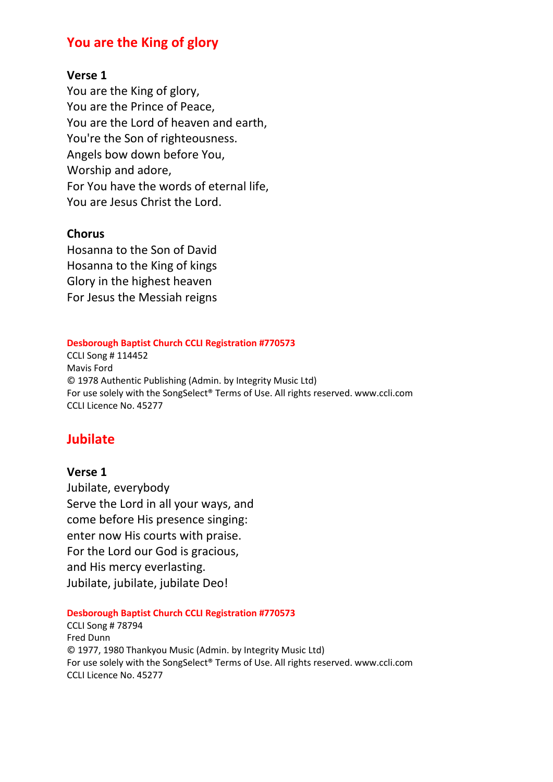# **You are the King of glory**

### **Verse 1**

You are the King of glory, You are the Prince of Peace, You are the Lord of heaven and earth, You're the Son of righteousness. Angels bow down before You, Worship and adore, For You have the words of eternal life, You are Jesus Christ the Lord.

### **Chorus**

Hosanna to the Son of David Hosanna to the King of kings Glory in the highest heaven For Jesus the Messiah reigns

#### **Desborough Baptist Church CCLI Registration #770573**

CCLI Song # 114452 Mavis Ford © 1978 Authentic Publishing (Admin. by Integrity Music Ltd) For use solely with the SongSelect® Terms of Use. All rights reserved. www.ccli.com CCLI Licence No. 45277

# **Jubilate**

#### **Verse 1**

Jubilate, everybody Serve the Lord in all your ways, and come before His presence singing: enter now His courts with praise. For the Lord our God is gracious, and His mercy everlasting. Jubilate, jubilate, jubilate Deo!

**Desborough Baptist Church CCLI Registration #770573**

CCLI Song # 78794 Fred Dunn © 1977, 1980 Thankyou Music (Admin. by Integrity Music Ltd) For use solely with the SongSelect® Terms of Use. All rights reserved. www.ccli.com CCLI Licence No. 45277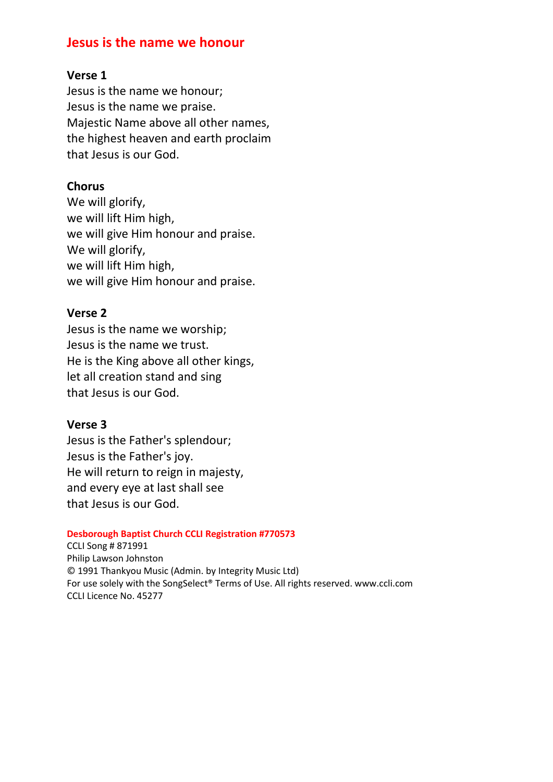# **Jesus is the name we honour**

### **Verse 1**

Jesus is the name we honour; Jesus is the name we praise. Majestic Name above all other names, the highest heaven and earth proclaim that Jesus is our God.

## **Chorus**

We will glorify, we will lift Him high, we will give Him honour and praise. We will glorify, we will lift Him high, we will give Him honour and praise.

### **Verse 2**

Jesus is the name we worship; Jesus is the name we trust. He is the King above all other kings, let all creation stand and sing that Jesus is our God.

### **Verse 3**

Jesus is the Father's splendour; Jesus is the Father's joy. He will return to reign in majesty, and every eye at last shall see that Jesus is our God.

#### **Desborough Baptist Church CCLI Registration #770573**

CCLI Song # 871991 Philip Lawson Johnston © 1991 Thankyou Music (Admin. by Integrity Music Ltd) For use solely with the SongSelect® Terms of Use. All rights reserved. www.ccli.com CCLI Licence No. 45277